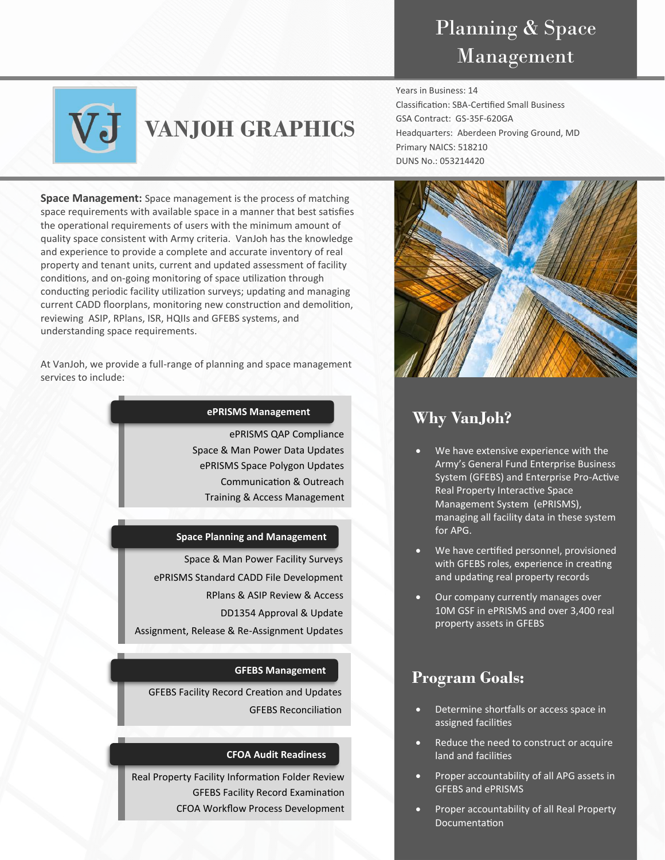## Planning & Space Management



# **VANJOH GRAPHICS**

**Space Management:** Space management is the process of matching space requirements with available space in a manner that best satisfies the operational requirements of users with the minimum amount of quality space consistent with Army criteria. VanJoh has the knowledge and experience to provide a complete and accurate inventory of real property and tenant units, current and updated assessment of facility conditions, and on-going monitoring of space utilization through conducting periodic facility utilization surveys; updating and managing current CADD floorplans, monitoring new construction and demolition, reviewing ASIP, RPlans, ISR, HQIIs and GFEBS systems, and understanding space requirements.

At VanJoh, we provide a full-range of planning and space management services to include:

### **ePRISMS Management**

ePRISMS QAP Compliance Space & Man Power Data Updates ePRISMS Space Polygon Updates Communication & Outreach Training & Access Management

### **Space Planning and Management**

Space & Man Power Facility Surveys ePRISMS Standard CADD File Development RPlans & ASIP Review & Access DD1354 Approval & Update Assignment, Release & Re-Assignment Updates

### **GFEBS Management**

GFEBS Facility Record Creation and Updates GFEBS Reconciliation

### **CFOA Audit Readiness**

Real Property Facility Information Folder Review GFEBS Facility Record Examination CFOA Workflow Process Development Years in Business: 14 Classification: SBA-Certified Small Business GSA Contract: GS-35F-620GA Headquarters: Aberdeen Proving Ground, MD Primary NAICS: 518210 DUNS No.: 053214420



### **Why VanJoh?**

- We have extensive experience with the Army's General Fund Enterprise Business System (GFEBS) and Enterprise Pro-Active Real Property Interactive Space Management System (ePRISMS), managing all facility data in these system for APG.
- We have certified personnel, provisioned with GFEBS roles, experience in creating and updating real property records
- Our company currently manages over 10M GSF in ePRISMS and over 3,400 real property assets in GFEBS

### **Program Goals:**

- Determine shortfalls or access space in assigned facilities
- Reduce the need to construct or acquire land and facilities
- Proper accountability of all APG assets in GFEBS and ePRISMS
- Proper accountability of all Real Property Documentation